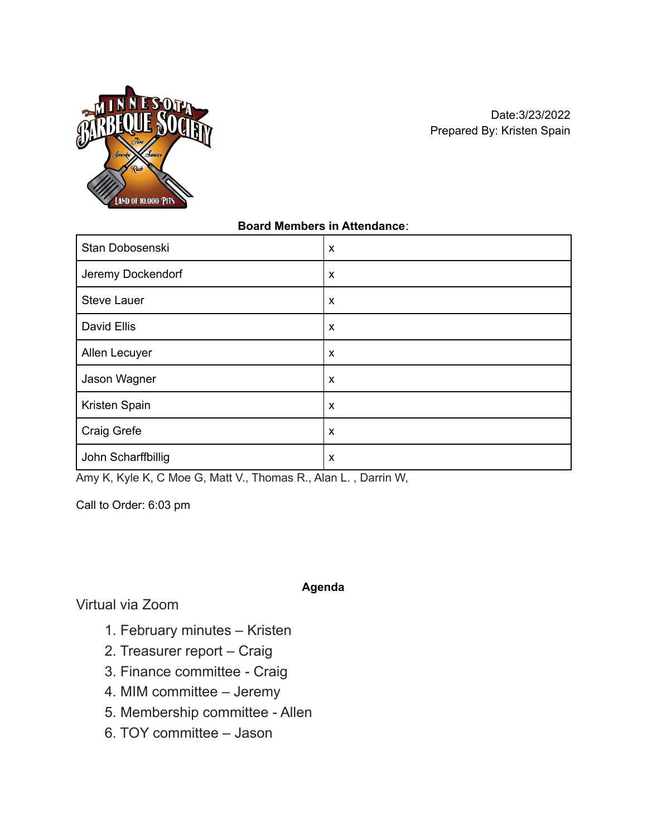

## **Board Members in Attendance**:

| Stan Dobosenski    | X                         |
|--------------------|---------------------------|
| Jeremy Dockendorf  | $\boldsymbol{\mathsf{x}}$ |
| <b>Steve Lauer</b> | $\boldsymbol{\mathsf{x}}$ |
| David Ellis        | X                         |
| Allen Lecuyer      | X                         |
| Jason Wagner       | $\boldsymbol{\mathsf{x}}$ |
| Kristen Spain      | $\boldsymbol{\mathsf{x}}$ |
| Craig Grefe        | X                         |
| John Scharffbillig | X                         |

Amy K, Kyle K, C Moe G, Matt V., Thomas R., Alan L. , Darrin W,

Call to Order: 6:03 pm

**Agenda**

Virtual via Zoom

- 1. February minutes Kristen
- 2. Treasurer report Craig
- 3. Finance committee Craig
- 4. MIM committee Jeremy
- 5. Membership committee Allen
- 6. TOY committee Jason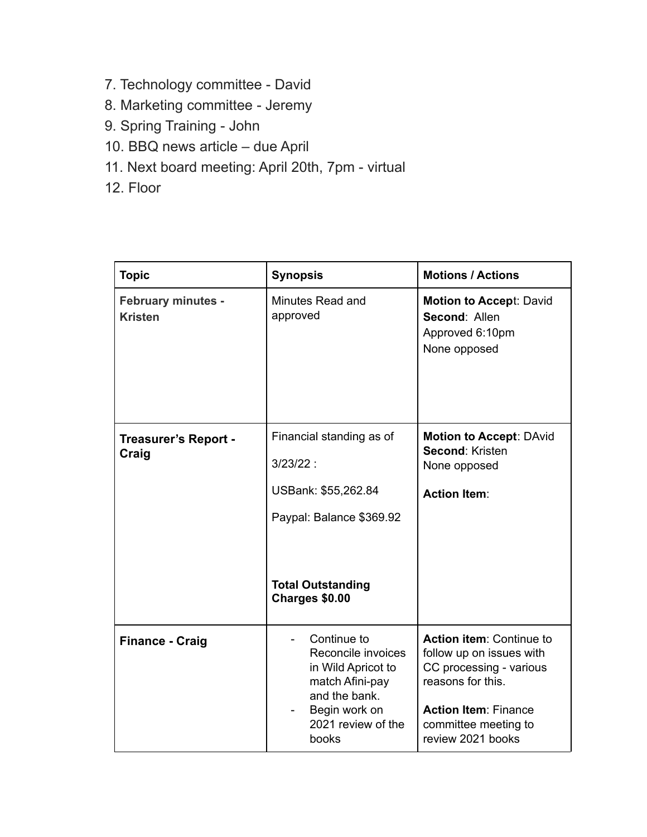- 7. Technology committee David
- 8. Marketing committee Jeremy
- 9. Spring Training John
- 10. BBQ news article due April
- 11. Next board meeting: April 20th, 7pm virtual
- 12. Floor

| <b>Topic</b>                                | <b>Synopsis</b>                                                                                                                             | <b>Motions / Actions</b>                                                                                                                                                         |
|---------------------------------------------|---------------------------------------------------------------------------------------------------------------------------------------------|----------------------------------------------------------------------------------------------------------------------------------------------------------------------------------|
| <b>February minutes -</b><br><b>Kristen</b> | Minutes Read and<br>approved                                                                                                                | <b>Motion to Accept: David</b><br>Second: Allen<br>Approved 6:10pm<br>None opposed                                                                                               |
| <b>Treasurer's Report -</b><br>Craig        | Financial standing as of<br>$3/23/22$ :<br>USBank: \$55,262.84<br>Paypal: Balance \$369.92<br><b>Total Outstanding</b><br>Charges \$0.00    | <b>Motion to Accept: DAvid</b><br>Second: Kristen<br>None opposed<br><b>Action Item:</b>                                                                                         |
| <b>Finance - Craig</b>                      | Continue to<br>Reconcile invoices<br>in Wild Apricot to<br>match Afini-pay<br>and the bank.<br>Begin work on<br>2021 review of the<br>books | Action item: Continue to<br>follow up on issues with<br>CC processing - various<br>reasons for this.<br><b>Action Item: Finance</b><br>committee meeting to<br>review 2021 books |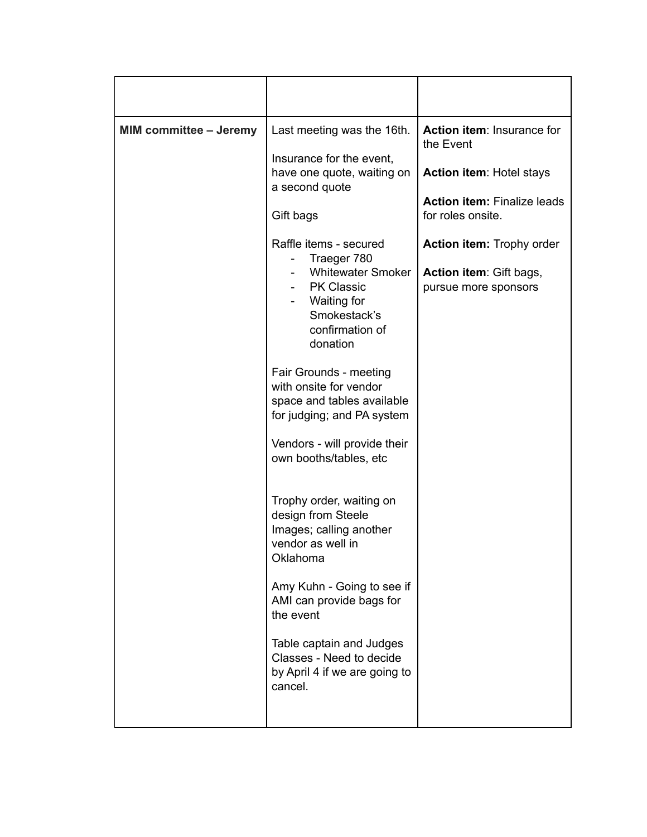| <b>MIM committee - Jeremy</b> | Last meeting was the 16th.<br>Insurance for the event,<br>have one quote, waiting on<br>a second quote<br>Gift bags<br>Raffle items - secured<br>Traeger 780<br><b>Whitewater Smoker</b><br><b>PK Classic</b><br>Waiting for<br>Smokestack's<br>confirmation of<br>donation<br>Fair Grounds - meeting<br>with onsite for vendor<br>space and tables available<br>for judging; and PA system<br>Vendors - will provide their<br>own booths/tables, etc<br>Trophy order, waiting on<br>design from Steele<br>Images; calling another<br>vendor as well in<br>Oklahoma<br>Amy Kuhn - Going to see if<br>AMI can provide bags for<br>the event<br>Table captain and Judges<br>Classes - Need to decide<br>by April 4 if we are going to<br>cancel. | Action item: Insurance for<br>the Event<br><b>Action item: Hotel stays</b><br><b>Action item: Finalize leads</b><br>for roles onsite.<br>Action item: Trophy order<br>Action item: Gift bags,<br>pursue more sponsors |
|-------------------------------|------------------------------------------------------------------------------------------------------------------------------------------------------------------------------------------------------------------------------------------------------------------------------------------------------------------------------------------------------------------------------------------------------------------------------------------------------------------------------------------------------------------------------------------------------------------------------------------------------------------------------------------------------------------------------------------------------------------------------------------------|-----------------------------------------------------------------------------------------------------------------------------------------------------------------------------------------------------------------------|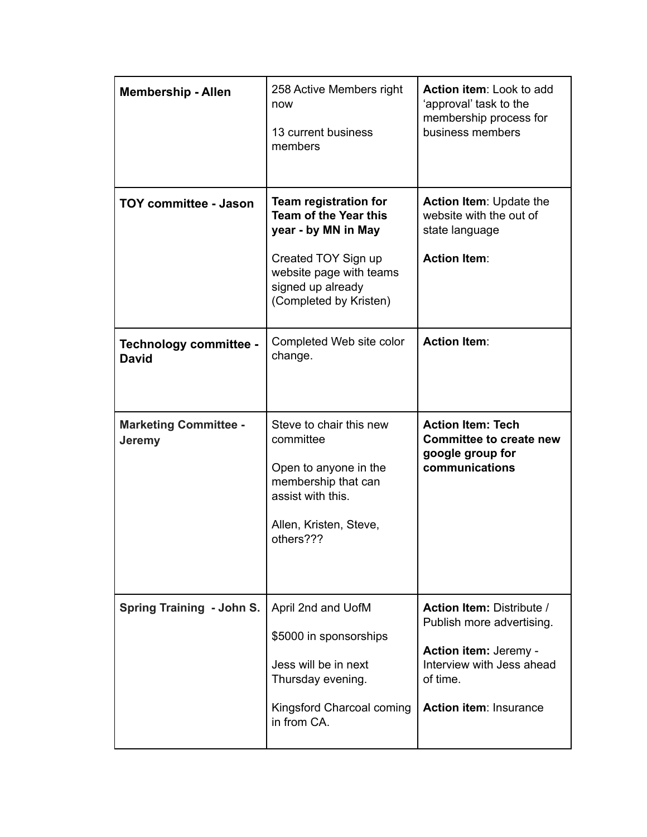| <b>Membership - Allen</b>              | 258 Active Members right<br>now<br>13 current business<br>members                                                                                                                    | Action item: Look to add<br>'approval' task to the<br>membership process for<br>business members   |
|----------------------------------------|--------------------------------------------------------------------------------------------------------------------------------------------------------------------------------------|----------------------------------------------------------------------------------------------------|
| <b>TOY committee - Jason</b>           | <b>Team registration for</b><br><b>Team of the Year this</b><br>year - by MN in May<br>Created TOY Sign up<br>website page with teams<br>signed up already<br>(Completed by Kristen) | <b>Action Item: Update the</b><br>website with the out of<br>state language<br><b>Action Item:</b> |
| Technology committee -<br><b>David</b> | Completed Web site color<br>change.                                                                                                                                                  | <b>Action Item:</b>                                                                                |
| <b>Marketing Committee -</b>           | Steve to chair this new                                                                                                                                                              | <b>Action Item: Tech</b>                                                                           |
| <b>Jeremy</b>                          | committee<br>Open to anyone in the<br>membership that can<br>assist with this.<br>Allen, Kristen, Steve,<br>others???                                                                | <b>Committee to create new</b><br>google group for<br>communications                               |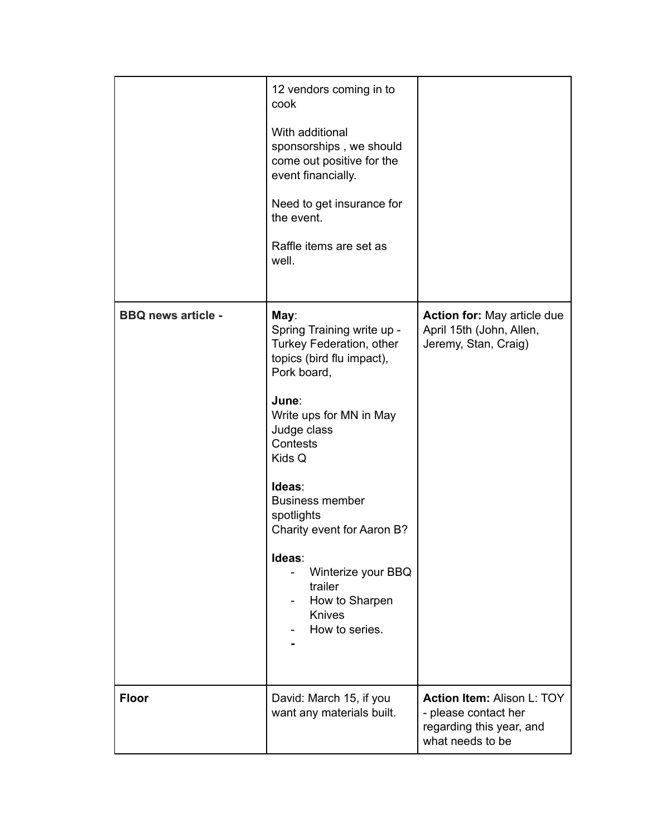|                           | 12 vendors coming in to<br>cook<br>With additional<br>sponsorships, we should<br>come out positive for the<br>event financially.<br>Need to get insurance for<br>the event.<br>Raffle items are set as<br>well.                                                                                                                                                     |                                                                                                           |
|---------------------------|---------------------------------------------------------------------------------------------------------------------------------------------------------------------------------------------------------------------------------------------------------------------------------------------------------------------------------------------------------------------|-----------------------------------------------------------------------------------------------------------|
| <b>BBQ news article -</b> | May:<br>Spring Training write up -<br>Turkey Federation, other<br>topics (bird flu impact),<br>Pork board,<br>June:<br>Write ups for MN in May<br>Judge class<br>Contests<br>Kids Q<br>Ideas:<br><b>Business member</b><br>spotlights<br>Charity event for Aaron B?<br>Ideas:<br>Winterize your BBQ<br>trailer<br>How to Sharpen<br><b>Knives</b><br>How to series. | <b>Action for: May article due</b><br>April 15th (John, Allen,<br>Jeremy, Stan, Craig)                    |
| <b>Floor</b>              | David: March 15, if you<br>want any materials built.                                                                                                                                                                                                                                                                                                                | <b>Action Item: Alison L: TOY</b><br>- please contact her<br>regarding this year, and<br>what needs to be |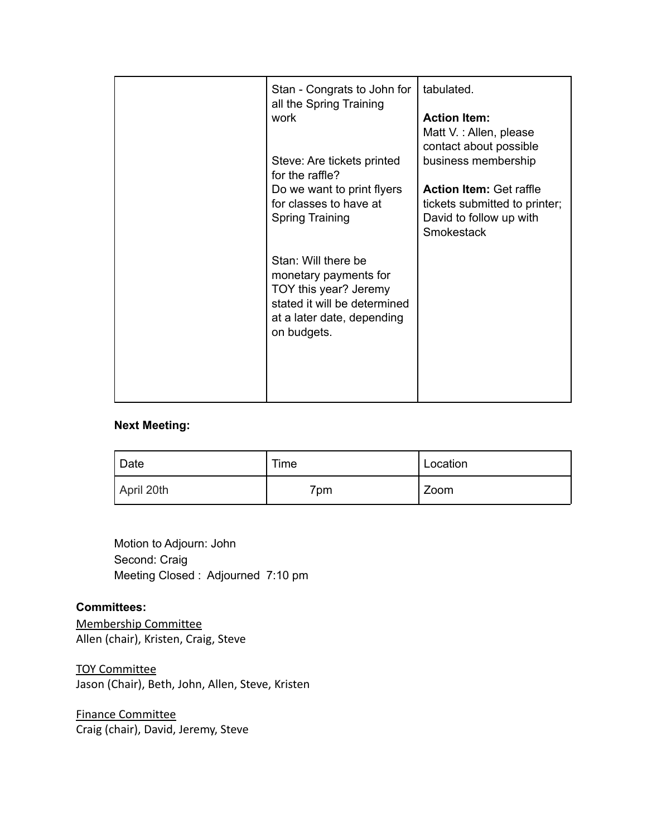| Stan - Congrats to John for<br>all the Spring Training<br>work<br>Steve: Are tickets printed<br>for the raffle?<br>Do we want to print flyers<br>for classes to have at<br><b>Spring Training</b> | tabulated.<br><b>Action Item:</b><br>Matt V. : Allen, please<br>contact about possible<br>business membership<br><b>Action Item: Get raffle</b><br>tickets submitted to printer;<br>David to follow up with<br>Smokestack |
|---------------------------------------------------------------------------------------------------------------------------------------------------------------------------------------------------|---------------------------------------------------------------------------------------------------------------------------------------------------------------------------------------------------------------------------|
| Stan: Will there be<br>monetary payments for<br>TOY this year? Jeremy<br>stated it will be determined<br>at a later date, depending<br>on budgets.                                                |                                                                                                                                                                                                                           |

## **Next Meeting:**

| <sup>'</sup> Date | Time | Location |
|-------------------|------|----------|
| April 20th        | 7pm  | Zoom     |

Motion to Adjourn: John Second: Craig Meeting Closed : Adjourned 7:10 pm

## **Committees:**

Membership Committee Allen (chair), Kristen, Craig, Steve

TOY Committee Jason (Chair), Beth, John, Allen, Steve, Kristen

Finance Committee Craig (chair), David, Jeremy, Steve